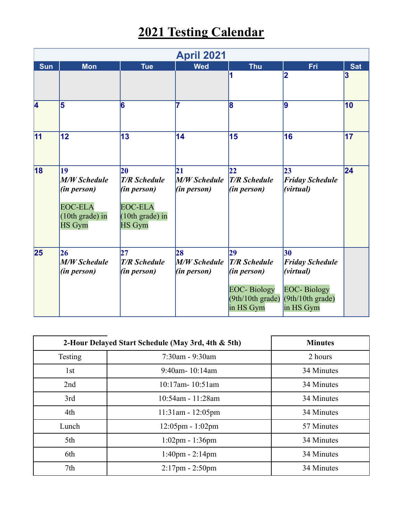## **2021 Testing Calendar**

| <b>April 2021</b> |                                                                                                |                                                                                                  |                                                 |                                                                                                |                                                                                                 |            |  |  |  |  |  |
|-------------------|------------------------------------------------------------------------------------------------|--------------------------------------------------------------------------------------------------|-------------------------------------------------|------------------------------------------------------------------------------------------------|-------------------------------------------------------------------------------------------------|------------|--|--|--|--|--|
| <b>Sun</b>        | <b>Mon</b>                                                                                     | <b>Tue</b>                                                                                       | <b>Wed</b>                                      | <b>Thu</b>                                                                                     | Fri                                                                                             | <b>Sat</b> |  |  |  |  |  |
|                   |                                                                                                |                                                                                                  |                                                 |                                                                                                | 2                                                                                               | 3          |  |  |  |  |  |
| 4                 | 5                                                                                              | 6                                                                                                | 7                                               | 8                                                                                              | 9                                                                                               | 10         |  |  |  |  |  |
| $\overline{11}$   | 12                                                                                             | 13                                                                                               | 14                                              | 15                                                                                             | 16                                                                                              | 17         |  |  |  |  |  |
| 18                | 19<br><b>M/W Schedule</b><br>(in person)<br><b>EOC-ELA</b><br>(10th grade) in<br><b>HS</b> Gym | 20<br><b>T/R Schedule</b><br>(in person)<br><b>EOC-ELA</b><br>$(10th grade)$ in<br><b>HS</b> Gym | 21<br><b>M/W Schedule</b><br>(in person)        | 22<br><b>T/R Schedule</b><br>(in person)                                                       | $ 23\rangle$<br><b>Friday Schedule</b><br>(virtual)                                             | 24         |  |  |  |  |  |
| 25                | 26<br>M/W Schedule<br>(in person)                                                              | 27 <br><b>T/R Schedule</b><br>(in person)                                                        | 28<br><b>M/W Schedule</b><br><i>(in person)</i> | 29<br><b>T/R Schedule</b><br>(in person)<br><b>EOC-Biology</b><br>(9th/10th grad)<br>in HS Gym | 30<br><b>Friday Schedule</b><br>(virtual)<br><b>EOC-Biology</b><br>(9th/10th grad)<br>in HS Gym |            |  |  |  |  |  |

| 2-Hour Delayed Start Schedule (May 3rd, 4th & 5th) | <b>Minutes</b>                     |            |
|----------------------------------------------------|------------------------------------|------------|
| Testing                                            | $7:30$ am - 9:30am                 | 2 hours    |
| 1st                                                | $9:40$ am- 10:14am                 | 34 Minutes |
| 2nd                                                | 10:17am-10:51am                    | 34 Minutes |
| 3rd                                                | 10:54am - 11:28am                  | 34 Minutes |
| 4th                                                | $11:31$ am - $12:05$ pm            | 34 Minutes |
| Lunch                                              | $12:05 \text{pm} - 1:02 \text{pm}$ | 57 Minutes |
| 5th                                                | $1:02 \text{pm} - 1:36 \text{pm}$  | 34 Minutes |
| 6th                                                | $1:40$ pm - $2:14$ pm              | 34 Minutes |
| 7th                                                | $2:17$ pm - $2:50$ pm              | 34 Minutes |